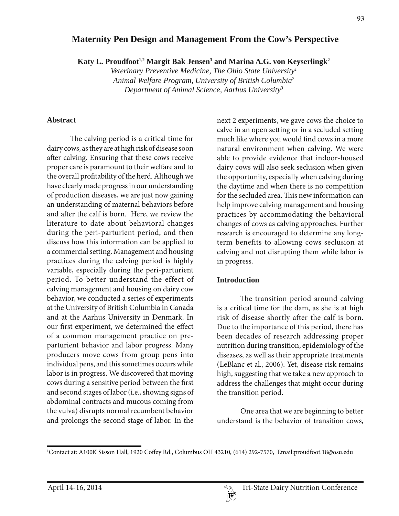# **Maternity Pen Design and Management From the Cow's Perspective**

Katy L. Proudfoot<sup>1,2</sup> Margit Bak Jensen<sup>3</sup> and Marina A.G. von Keyserlingk<sup>2</sup>

*Veterinary Preventive Medicine, The Ohio State University1 Animal Welfare Program, University of British Columbia2 Department of Animal Science, Aarhus University3*

#### **Abstract**

The calving period is a critical time for dairy cows, as they are at high risk of disease soon after calving. Ensuring that these cows receive proper care is paramount to their welfare and to the overall profitability of the herd. Although we have clearly made progress in our understanding of production diseases, we are just now gaining an understanding of maternal behaviors before and after the calf is born. Here, we review the literature to date about behavioral changes during the peri-parturient period, and then discuss how this information can be applied to a commercial setting. Management and housing practices during the calving period is highly variable, especially during the peri-parturient period. To better understand the effect of calving management and housing on dairy cow behavior, we conducted a series of experiments at the University of British Columbia in Canada and at the Aarhus University in Denmark. In our first experiment, we determined the effect of a common management practice on preparturient behavior and labor progress. Many producers move cows from group pens into individual pens, and this sometimes occurs while labor is in progress. We discovered that moving cows during a sensitive period between the first and second stages of labor (i.e., showing signs of abdominal contracts and mucous coming from the vulva) disrupts normal recumbent behavior and prolongs the second stage of labor. In the

next 2 experiments, we gave cows the choice to calve in an open setting or in a secluded setting much like where you would find cows in a more natural environment when calving. We were able to provide evidence that indoor-housed dairy cows will also seek seclusion when given the opportunity, especially when calving during the daytime and when there is no competition for the secluded area. This new information can help improve calving management and housing practices by accommodating the behavioral changes of cows as calving approaches. Further research is encouraged to determine any longterm benefits to allowing cows seclusion at calving and not disrupting them while labor is in progress.

### **Introduction**

The transition period around calving is a critical time for the dam, as she is at high risk of disease shortly after the calf is born. Due to the importance of this period, there has been decades of research addressing proper nutrition during transition, epidemiology of the diseases, as well as their appropriate treatments (LeBlanc et al., 2006). Yet, disease risk remains high, suggesting that we take a new approach to address the challenges that might occur during the transition period.

One area that we are beginning to better understand is the behavior of transition cows,

<sup>1</sup> Contact at: A100K Sisson Hall, 1920 Coffey Rd., Columbus OH 43210, (614) 292-7570, Email:proudfoot.18@osu.edu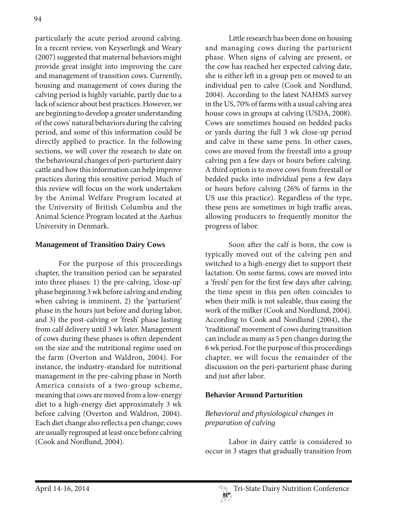particularly the acute period around calving. In a recent review, von Keyserlingk and Weary (2007) suggested that maternal behaviors might provide great insight into improving the care and management of transition cows. Currently, housing and management of cows during the calving period is highly variable, partly due to a lack of science about best practices. However, we are beginning to develop a greater understanding of the cows' natural behaviors during the calving period, and some of this information could be directly applied to practice. In the following sections, we will cover the research to date on the behavioural changes of peri-parturient dairy cattle and how this information can help improve practices during this sensitive period. Much of this review will focus on the work undertaken by the Animal Welfare Program located at the University of British Columbia and the Animal Science Program located at the Aarhus University in Denmark.

## **Management of Transition Dairy Cows**

For the purpose of this proceedings chapter, the transition period can be separated into three phases: 1) the pre-calving, 'close-up' phase beginning 3 wk before calving and ending when calving is imminent, 2) the 'parturient' phase in the hours just before and during labor, and 3) the post-calving or 'fresh' phase lasting from calf delivery until 3 wk later. Management of cows during these phases is often dependent on the size and the nutritional regime used on the farm (Overton and Waldron, 2004). For instance, the industry-standard for nutritional management in the pre-calving phase in North America consists of a two-group scheme, meaning that cows are moved from a low-energy diet to a high-energy diet approximately 3 wk before calving (Overton and Waldron, 2004). Each diet change also reflects a pen change; cows are usually regrouped at least once before calving (Cook and Nordlund, 2004).

Little research has been done on housing and managing cows during the parturient phase. When signs of calving are present, or the cow has reached her expected calving date, she is either left in a group pen or moved to an individual pen to calve (Cook and Nordlund, 2004). According to the latest NAHMS survey in the US, 70% of farms with a usual calving area house cows in groups at calving (USDA, 2008). Cows are sometimes housed on bedded packs or yards during the full 3 wk close-up period and calve in these same pens. In other cases, cows are moved from the freestall into a group calving pen a few days or hours before calving. A third option is to move cows from freestall or bedded packs into individual pens a few days or hours before calving (26% of farms in the US use this practice). Regardless of the type, these pens are sometimes in high traffic areas, allowing producers to frequently monitor the progress of labor.

Soon after the calf is born, the cow is typically moved out of the calving pen and switched to a high-energy diet to support their lactation. On some farms, cows are moved into a 'fresh' pen for the first few days after calving; the time spent in this pen often coincides to when their milk is not saleable, thus easing the work of the milker (Cook and Nordlund, 2004). According to Cook and Nordlund (2004), the 'traditional' movement of cows during transition can include as many as 5 pen changes during the 6 wk period. For the purpose of this proceedings chapter, we will focus the remainder of the discussion on the peri-parturient phase during and just after labor.

## **Behavior Around Parturition**

# *Behavioral and physiological changes in preparation of calving*

Labor in dairy cattle is considered to occur in 3 stages that gradually transition from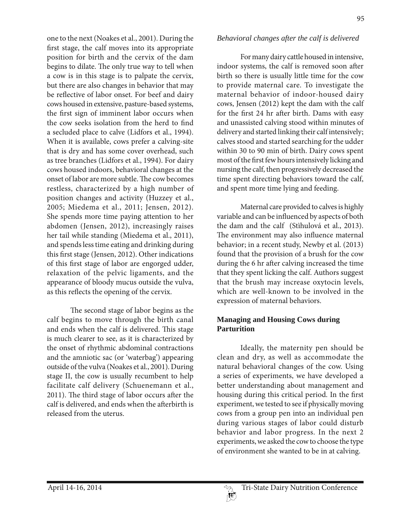one to the next (Noakes et al., 2001). During the first stage, the calf moves into its appropriate position for birth and the cervix of the dam begins to dilate. The only true way to tell when a cow is in this stage is to palpate the cervix, but there are also changes in behavior that may be reflective of labor onset. For beef and dairy cows housed in extensive, pasture-based systems, the first sign of imminent labor occurs when the cow seeks isolation from the herd to find a secluded place to calve (Lidfors et al., 1994). When it is available, cows prefer a calving-site that is dry and has some cover overhead, such as tree branches (Lidfors et al., 1994). For dairy cows housed indoors, behavioral changes at the onset of labor are more subtle. The cow becomes restless, characterized by a high number of position changes and activity (Huzzey et al., 2005; Miedema et al., 2011; Jensen, 2012). She spends more time paying attention to her abdomen (Jensen, 2012), increasingly raises her tail while standing (Miedema et al., 2011), and spends less time eating and drinking during this first stage (Jensen, 2012). Other indications of this first stage of labor are engorged udder, relaxation of the pelvic ligaments, and the appearance of bloody mucus outside the vulva, as this reflects the opening of the cervix.

The second stage of labor begins as the calf begins to move through the birth canal and ends when the calf is delivered. This stage is much clearer to see, as it is characterized by the onset of rhythmic abdominal contractions and the amniotic sac (or 'waterbag') appearing outside of the vulva (Noakes et al., 2001). During stage II, the cow is usually recumbent to help facilitate calf delivery (Schuenemann et al., 2011). The third stage of labor occurs after the calf is delivered, and ends when the afterbirth is released from the uterus.

#### *Behavioral changes after the calf is delivered*

For many dairy cattle housed in intensive, indoor systems, the calf is removed soon after birth so there is usually little time for the cow to provide maternal care. To investigate the maternal behavior of indoor-housed dairy cows, Jensen (2012) kept the dam with the calf for the first 24 hr after birth. Dams with easy and unassisted calving stood within minutes of delivery and started linking their calf intensively; calves stood and started searching for the udder within 30 to 90 min of birth. Dairy cows spent most of the first few hours intensively licking and nursing the calf, then progressively decreased the time spent directing behaviors toward the calf, and spent more time lying and feeding.

Maternal care provided to calves is highly variable and can be influenced by aspects of both the dam and the calf (Stìhulová et al., 2013). The environment may also influence maternal behavior; in a recent study, Newby et al. (2013) found that the provision of a brush for the cow during the 6 hr after calving increased the time that they spent licking the calf. Authors suggest that the brush may increase oxytocin levels, which are well-known to be involved in the expression of maternal behaviors.

## **Managing and Housing Cows during Parturition**

Ideally, the maternity pen should be clean and dry, as well as accommodate the natural behavioral changes of the cow. Using a series of experiments, we have developed a better understanding about management and housing during this critical period. In the first experiment, we tested to see if physically moving cows from a group pen into an individual pen during various stages of labor could disturb behavior and labor progress. In the next 2 experiments, we asked the cow to choose the type of environment she wanted to be in at calving.

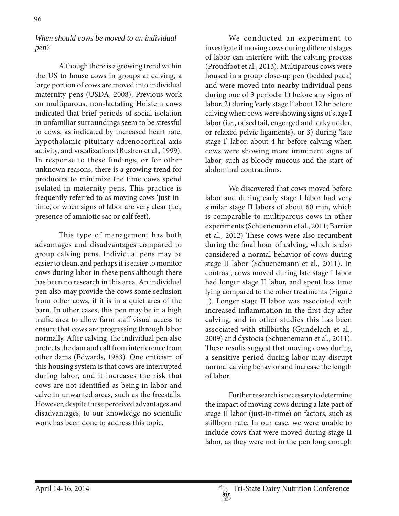## *When should cows be moved to an individual pen?*

Although there is a growing trend within the US to house cows in groups at calving, a large portion of cows are moved into individual maternity pens (USDA, 2008). Previous work on multiparous, non-lactating Holstein cows indicated that brief periods of social isolation in unfamiliar surroundings seem to be stressful to cows, as indicated by increased heart rate, hypothalamic-pituitary-adrenocortical axis activity, and vocalizations (Rushen et al., 1999). In response to these findings, or for other unknown reasons, there is a growing trend for producers to minimize the time cows spend isolated in maternity pens. This practice is frequently referred to as moving cows 'just-intime', or when signs of labor are very clear (i.e., presence of amniotic sac or calf feet).

This type of management has both advantages and disadvantages compared to group calving pens. Individual pens may be easier to clean, and perhaps it is easier to monitor cows during labor in these pens although there has been no research in this area. An individual pen also may provide the cows some seclusion from other cows, if it is in a quiet area of the barn. In other cases, this pen may be in a high traffic area to allow farm staff visual access to ensure that cows are progressing through labor normally. After calving, the individual pen also protects the dam and calf from interference from other dams (Edwards, 1983). One criticism of this housing system is that cows are interrupted during labor, and it increases the risk that cows are not identified as being in labor and calve in unwanted areas, such as the freestalls. However, despite these perceived advantages and disadvantages, to our knowledge no scientific work has been done to address this topic.

We conducted an experiment to investigate if moving cows during different stages of labor can interfere with the calving process (Proudfoot et al., 2013). Multiparous cows were housed in a group close-up pen (bedded pack) and were moved into nearby individual pens during one of 3 periods: 1) before any signs of labor, 2) during 'early stage I' about 12 hr before calving when cows were showing signs of stage I labor (i.e., raised tail, engorged and leaky udder, or relaxed pelvic ligaments), or 3) during 'late stage I' labor, about 4 hr before calving when cows were showing more imminent signs of labor, such as bloody mucous and the start of abdominal contractions.

We discovered that cows moved before labor and during early stage I labor had very similar stage II labors of about 60 min, which is comparable to multiparous cows in other experiments (Schuenemann et al., 2011; Barrier et al., 2012) These cows were also recumbent during the final hour of calving, which is also considered a normal behavior of cows during stage II labor (Schuenemann et al., 2011). In contrast, cows moved during late stage I labor had longer stage II labor, and spent less time lying compared to the other treatments (Figure 1). Longer stage II labor was associated with increased inflammation in the first day after calving, and in other studies this has been associated with stillbirths (Gundelach et al., 2009) and dystocia (Schuenemann et al., 2011). These results suggest that moving cows during a sensitive period during labor may disrupt normal calving behavior and increase the length of labor.

Further research is necessary to determine the impact of moving cows during a late part of stage II labor (just-in-time) on factors, such as stillborn rate. In our case, we were unable to include cows that were moved during stage II labor, as they were not in the pen long enough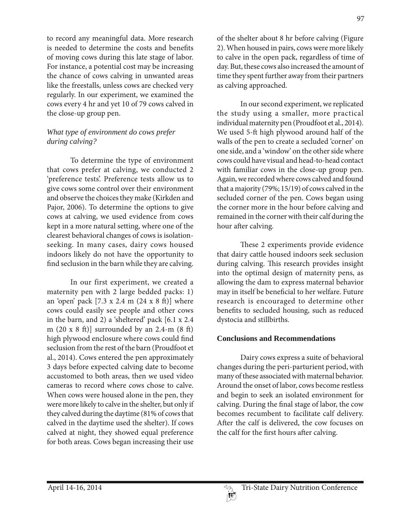to record any meaningful data. More research is needed to determine the costs and benefits of moving cows during this late stage of labor. For instance, a potential cost may be increasing the chance of cows calving in unwanted areas like the freestalls, unless cows are checked very regularly. In our experiment, we examined the cows every 4 hr and yet 10 of 79 cows calved in the close-up group pen.

## *What type of environment do cows prefer during calving?*

To determine the type of environment that cows prefer at calving, we conducted 2 'preference tests'. Preference tests allow us to give cows some control over their environment and observe the choices they make (Kirkden and Pajor, 2006). To determine the options to give cows at calving, we used evidence from cows kept in a more natural setting, where one of the clearest behavioral changes of cows is isolationseeking. In many cases, dairy cows housed indoors likely do not have the opportunity to find seclusion in the barn while they are calving.

In our first experiment, we created a maternity pen with 2 large bedded packs: 1) an 'open' pack [7.3 x 2.4 m (24 x 8 ft)] where cows could easily see people and other cows in the barn, and 2) a 'sheltered' pack [6.1 x 2.4 m (20 x 8 ft)] surrounded by an 2.4-m (8 ft) high plywood enclosure where cows could find seclusion from the rest of the barn (Proudfoot et al., 2014). Cows entered the pen approximately 3 days before expected calving date to become accustomed to both areas, then we used video cameras to record where cows chose to calve. When cows were housed alone in the pen, they were more likely to calve in the shelter, but only if they calved during the daytime (81% of cows that calved in the daytime used the shelter). If cows calved at night, they showed equal preference for both areas. Cows began increasing their use

of the shelter about 8 hr before calving (Figure 2). When housed in pairs, cows were more likely to calve in the open pack, regardless of time of day. But, these cows also increased the amount of time they spent further away from their partners as calving approached.

In our second experiment, we replicated the study using a smaller, more practical individual maternity pen (Proudfoot et al., 2014). We used 5-ft high plywood around half of the walls of the pen to create a secluded 'corner' on one side, and a 'window' on the other side where cows could have visual and head-to-head contact with familiar cows in the close-up group pen. Again, we recorded where cows calved and found that a majority (79%; 15/19) of cows calved in the secluded corner of the pen. Cows began using the corner more in the hour before calving and remained in the corner with their calf during the hour after calving.

These 2 experiments provide evidence that dairy cattle housed indoors seek seclusion during calving. This research provides insight into the optimal design of maternity pens, as allowing the dam to express maternal behavior may in itself be beneficial to her welfare. Future research is encouraged to determine other benefits to secluded housing, such as reduced dystocia and stillbirths.

### **Conclusions and Recommendations**

Dairy cows express a suite of behavioral changes during the peri-parturient period, with many of these associated with maternal behavior. Around the onset of labor, cows become restless and begin to seek an isolated environment for calving. During the final stage of labor, the cow becomes recumbent to facilitate calf delivery. After the calf is delivered, the cow focuses on the calf for the first hours after calving.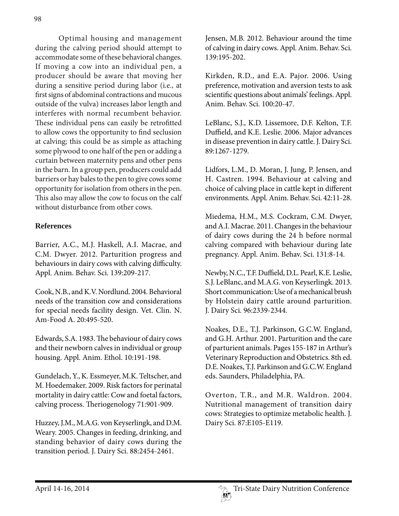Optimal housing and management during the calving period should attempt to accommodate some of these behavioral changes. If moving a cow into an individual pen, a producer should be aware that moving her during a sensitive period during labor (i.e., at first signs of abdominal contractions and mucous outside of the vulva) increases labor length and interferes with normal recumbent behavior. These individual pens can easily be retrofitted to allow cows the opportunity to find seclusion at calving; this could be as simple as attaching some plywood to one half of the pen or adding a curtain between maternity pens and other pens in the barn. In a group pen, producers could add barriers or hay bales to the pen to give cows some opportunity for isolation from others in the pen. This also may allow the cow to focus on the calf without disturbance from other cows.

## **References**

Barrier, A.C., M.J. Haskell, A.I. Macrae, and C.M. Dwyer. 2012. Parturition progress and behaviours in dairy cows with calving difficulty. Appl. Anim. Behav. Sci. 139:209-217.

Cook, N.B., and K.V. Nordlund. 2004. Behavioral needs of the transition cow and considerations for special needs facility design. Vet. Clin. N. Am-Food A. 20:495-520.

Edwards, S.A. 1983. The behaviour of dairy cows and their newborn calves in individual or group housing. Appl. Anim. Ethol. 10:191-198.

Gundelach, Y., K. Essmeyer, M.K. Teltscher, and M. Hoedemaker. 2009. Risk factors for perinatal mortality in dairy cattle: Cow and foetal factors, calving process. Theriogenology 71:901-909.

Huzzey, J.M., M.A.G. von Keyserlingk, and D.M. Weary. 2005. Changes in feeding, drinking, and standing behavior of dairy cows during the transition period. J. Dairy Sci. 88:2454-2461.

Jensen, M.B. 2012. Behaviour around the time of calving in dairy cows. Appl. Anim. Behav. Sci. 139:195-202.

Kirkden, R.D., and E.A. Pajor. 2006. Using preference, motivation and aversion tests to ask scientific questions about animals' feelings. Appl. Anim. Behav. Sci. 100:20-47.

LeBlanc, S.J., K.D. Lissemore, D.F. Kelton, T.F. Duffield, and K.E. Leslie. 2006. Major advances in disease prevention in dairy cattle. J. Dairy Sci. 89:1267-1279.

Lidfors, L.M., D. Moran, J. Jung, P. Jensen, and H. Castren. 1994. Behaviour at calving and choice of calving place in cattle kept in different environments. Appl. Anim. Behav. Sci. 42:11-28.

Miedema, H.M., M.S. Cockram, C.M. Dwyer, and A.I. Macrae. 2011. Changes in the behaviour of dairy cows during the 24 h before normal calving compared with behaviour during late pregnancy. Appl. Anim. Behav. Sci. 131:8-14.

Newby, N.C., T.F. Duffield, D.L. Pearl, K.E. Leslie, S.J. LeBlanc, and M.A.G. von Keyserlingk. 2013. Short communication: Use of a mechanical brush by Holstein dairy cattle around parturition. J. Dairy Sci. 96:2339-2344.

Noakes, D.E., T.J. Parkinson, G.C.W. England, and G.H. Arthur. 2001. Parturition and the care of parturient animals. Pages 155-187 in Arthur's Veterinary Reproduction and Obstetrics. 8th ed. D.E. Noakes, T.J. Parkinson and G.C.W. England eds. Saunders, Philadelphia, PA.

Overton, T.R., and M.R. Waldron. 2004. Nutritional management of transition dairy cows: Strategies to optimize metabolic health. J. Dairy Sci. 87:E105-E119.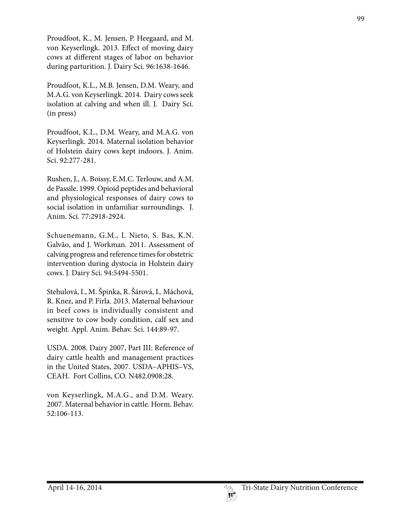Proudfoot, K., M. Jensen, P. Heegaard, and M. von Keyserlingk. 2013. Effect of moving dairy cows at different stages of labor on behavior during parturition. J. Dairy Sci. 96:1638-1646.

Proudfoot, K.L., M.B. Jensen, D.M. Weary, and M.A.G. von Keyserlingk. 2014. Dairy cows seek isolation at calving and when ill. J. Dairy Sci. (in press)

Proudfoot, K.L., D.M. Weary, and M.A.G. von Keyserlingk. 2014. Maternal isolation behavior of Holstein dairy cows kept indoors. J. Anim. Sci. 92:277-281.

Rushen, J., A. Boissy, E.M.C. Terlouw, and A.M. de Passile. 1999. Opioid peptides and behavioral and physiological responses of dairy cows to social isolation in unfamiliar surroundings. J. Anim. Sci. 77:2918-2924.

Schuenemann, G.M., I. Nieto, S. Bas, K.N. Galvão, and J. Workman. 2011. Assessment of calving progress and reference times for obstetric intervention during dystocia in Holstein dairy cows. J. Dairy Sci. 94:5494-5501.

Stehulová, I., M. Špinka, R. Šárová, L. Máchová, R. Knez, and P. Firla. 2013. Maternal behaviour in beef cows is individually consistent and sensitive to cow body condition, calf sex and weight. Appl. Anim. Behav. Sci. 144:89-97.

USDA. 2008. Dairy 2007, Part III: Reference of dairy cattle health and management practices in the United States, 2007. USDA–APHIS–VS, CEAH. Fort Collins, CO. N482.0908:28.

von Keyserlingk, M.A.G., and D.M. Weary. 2007. Maternal behavior in cattle. Horm. Behav. 52:106-113.

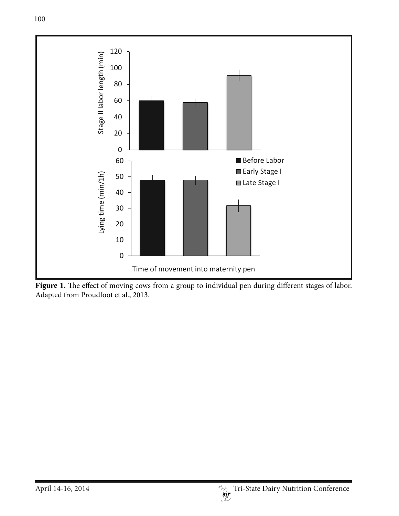

Figure 1. The effect of moving cows from a group to individual pen during different stages of labor. Adapted from Proudfoot et al., 2013.